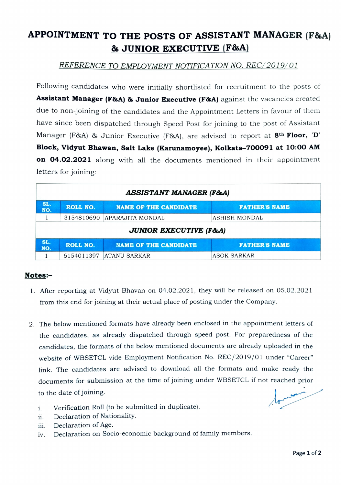## APPOINTMENT TO THE POSTS OF ASSISTANT MANAGER (F&A) & JUNIOR EXECUTIVE (F&A)

## REFERENCE TO EMPLOYMENT NOTIFICATION NO. REC/2019/01

Following candidates who were initially shortlisted for recruitment to the posts of Assistant Manager (F&A) & Junior Executive (F&A) against the vacancies created due to non-joining of the candidates and the Appointment Letters in favour of them have since been dispatched through Speed Post for joining to the post of Assistant Manager (F&A) & Junior Executive (F&A), are advised to report at  $8<sup>th</sup>$  Floor, 'D' Block, Vidyut Bhawan, Salt Lake (Karunamoyee), Kolkata-700091 at 10:00 AM on 04.02.2021 along with all the documents mentioned in their appointment letters for joining:

| <b>ASSISTANT MANAGER (F&amp;A)</b> |                 |                              |                      |
|------------------------------------|-----------------|------------------------------|----------------------|
| SL.<br>NO.                         | <b>ROLL NO.</b> | <b>NAME OF THE CANDIDATE</b> | <b>FATHER'S NAME</b> |
|                                    | 3154810690      | APARAJITA MONDAL             | ASHISH MONDAL        |
| <b>JUNIOR EXECUTIVE (F&amp;A)</b>  |                 |                              |                      |
| SL.<br>NO.                         | <b>ROLL NO.</b> | <b>NAME OF THE CANDIDATE</b> | <b>FATHER'S NAME</b> |
|                                    | 6154011397      | ATANU SARKAR                 | ASOK SARKAR          |

## Notes:

- . After reporting at Vidyut Bhavan on 04.02.2021, they will be released on 05.02.2021 from this end for joining at their actual place of posting under the Company.
- 2. The below mentioned formats have already been enclosed in the appointment letters of the candidates, as already dispatched through speed post. For preparedness of the candidates, the formats of the below mentioned documents are already uploaded in the website of WBSETCL vide Employment Notification No. REC/2019/01 under "Career" ink. The candidates are advised to download all the formats and make ready the documents for submission at the time of joining under WBSETCL if not reached prior to the date of joining.

formoni

- . Verification Roll (to be submitted in duplicate).
- Declaration of Nationality. i.
- Declaration of Age. ii.
- Declaration on Socio-economic background of family members. 1v.